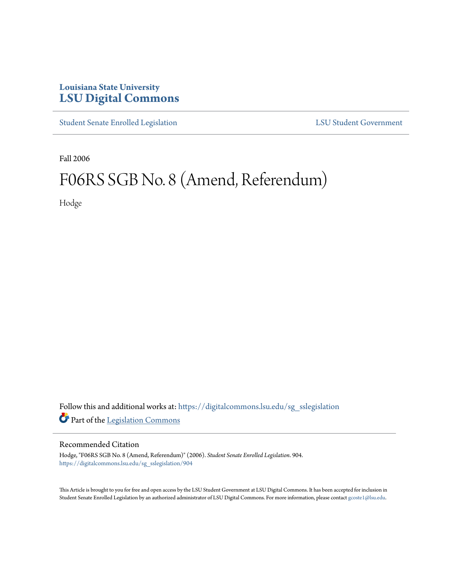## **Louisiana State University [LSU Digital Commons](https://digitalcommons.lsu.edu?utm_source=digitalcommons.lsu.edu%2Fsg_sslegislation%2F904&utm_medium=PDF&utm_campaign=PDFCoverPages)**

[Student Senate Enrolled Legislation](https://digitalcommons.lsu.edu/sg_sslegislation?utm_source=digitalcommons.lsu.edu%2Fsg_sslegislation%2F904&utm_medium=PDF&utm_campaign=PDFCoverPages) [LSU Student Government](https://digitalcommons.lsu.edu/sg?utm_source=digitalcommons.lsu.edu%2Fsg_sslegislation%2F904&utm_medium=PDF&utm_campaign=PDFCoverPages)

Fall 2006

## F06RS SGB No. 8 (Amend, Referendum)

Hodge

Follow this and additional works at: [https://digitalcommons.lsu.edu/sg\\_sslegislation](https://digitalcommons.lsu.edu/sg_sslegislation?utm_source=digitalcommons.lsu.edu%2Fsg_sslegislation%2F904&utm_medium=PDF&utm_campaign=PDFCoverPages) Part of the [Legislation Commons](http://network.bepress.com/hgg/discipline/859?utm_source=digitalcommons.lsu.edu%2Fsg_sslegislation%2F904&utm_medium=PDF&utm_campaign=PDFCoverPages)

## Recommended Citation

Hodge, "F06RS SGB No. 8 (Amend, Referendum)" (2006). *Student Senate Enrolled Legislation*. 904. [https://digitalcommons.lsu.edu/sg\\_sslegislation/904](https://digitalcommons.lsu.edu/sg_sslegislation/904?utm_source=digitalcommons.lsu.edu%2Fsg_sslegislation%2F904&utm_medium=PDF&utm_campaign=PDFCoverPages)

This Article is brought to you for free and open access by the LSU Student Government at LSU Digital Commons. It has been accepted for inclusion in Student Senate Enrolled Legislation by an authorized administrator of LSU Digital Commons. For more information, please contact [gcoste1@lsu.edu.](mailto:gcoste1@lsu.edu)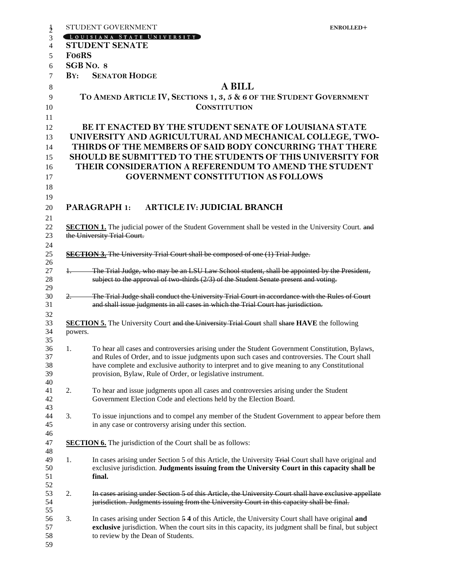|                    | STUDENT GOVERNMENT<br>ENROLLED+                                                                                                                                                                            |
|--------------------|------------------------------------------------------------------------------------------------------------------------------------------------------------------------------------------------------------|
|                    | LOUISIANA STATE UNIVERSITY                                                                                                                                                                                 |
|                    | <b>STUDENT SENATE</b>                                                                                                                                                                                      |
| Fo <sub>6</sub> RS |                                                                                                                                                                                                            |
|                    | SGB No. 8                                                                                                                                                                                                  |
|                    | <b>BY: SENATOR HODGE</b>                                                                                                                                                                                   |
|                    | <b>A BILL</b>                                                                                                                                                                                              |
|                    | TO AMEND ARTICLE IV, SECTIONS 1, 3, 5 & 6 OF THE STUDENT GOVERNMENT                                                                                                                                        |
|                    | <b>CONSTITUTION</b>                                                                                                                                                                                        |
|                    |                                                                                                                                                                                                            |
|                    | <b>BE IT ENACTED BY THE STUDENT SENATE OF LOUISIANA STATE</b>                                                                                                                                              |
|                    | UNIVERSITY AND AGRICULTURAL AND MECHANICAL COLLEGE, TWO-                                                                                                                                                   |
|                    | THIRDS OF THE MEMBERS OF SAID BODY CONCURRING THAT THERE                                                                                                                                                   |
|                    | <b>SHOULD BE SUBMITTED TO THE STUDENTS OF THIS UNIVERSITY FOR</b>                                                                                                                                          |
|                    | THEIR CONSIDERATION A REFERENDUM TO AMEND THE STUDENT                                                                                                                                                      |
|                    | <b>GOVERNMENT CONSTITUTION AS FOLLOWS</b>                                                                                                                                                                  |
|                    |                                                                                                                                                                                                            |
|                    |                                                                                                                                                                                                            |
|                    | <b>ARTICLE IV: JUDICIAL BRANCH</b><br><b>PARAGRAPH 1:</b>                                                                                                                                                  |
|                    |                                                                                                                                                                                                            |
|                    | <b>SECTION 1.</b> The judicial power of the Student Government shall be vested in the University Court. and                                                                                                |
|                    | the University Trial Court.                                                                                                                                                                                |
|                    |                                                                                                                                                                                                            |
|                    | <b>SECTION 3.</b> The University Trial Court shall be composed of one (1) Trial Judge.                                                                                                                     |
|                    |                                                                                                                                                                                                            |
| $+$                | The Trial Judge, who may be an LSU Law School student, shall be appointed by the President,                                                                                                                |
|                    | subject to the approval of two thirds $(2/3)$ of the Student Senate present and voting.                                                                                                                    |
|                    |                                                                                                                                                                                                            |
| $2-$               | The Trial Judge shall conduct the University Trial Court in accordance with the Rules of Court<br>and shall issue judgments in all cases in which the Trial Court has jurisdiction.                        |
|                    |                                                                                                                                                                                                            |
|                    | <b>SECTION 5.</b> The University Court and the University Trial Court shall share HAVE the following                                                                                                       |
| powers.            |                                                                                                                                                                                                            |
|                    |                                                                                                                                                                                                            |
| 1.                 | To hear all cases and controversies arising under the Student Government Constitution, Bylaws,                                                                                                             |
|                    | and Rules of Order, and to issue judgments upon such cases and controversies. The Court shall                                                                                                              |
|                    | have complete and exclusive authority to interpret and to give meaning to any Constitutional                                                                                                               |
|                    | provision, Bylaw, Rule of Order, or legislative instrument.                                                                                                                                                |
|                    |                                                                                                                                                                                                            |
| 2.                 | To hear and issue judgments upon all cases and controversies arising under the Student                                                                                                                     |
|                    | Government Election Code and elections held by the Election Board.                                                                                                                                         |
| 3.                 | To issue injunctions and to compel any member of the Student Government to appear before them                                                                                                              |
|                    | in any case or controversy arising under this section.                                                                                                                                                     |
|                    |                                                                                                                                                                                                            |
|                    | <b>SECTION 6.</b> The jurisdiction of the Court shall be as follows:                                                                                                                                       |
|                    |                                                                                                                                                                                                            |
| 1.                 | In cases arising under Section 5 of this Article, the University Trial Court shall have original and                                                                                                       |
|                    | exclusive jurisdiction. Judgments issuing from the University Court in this capacity shall be                                                                                                              |
|                    | final.                                                                                                                                                                                                     |
|                    |                                                                                                                                                                                                            |
| 2.                 | In cases arising under Section 5 of this Article, the University Court shall have exclusive appellate                                                                                                      |
|                    | jurisdiction. Judgments issuing from the University Court in this capacity shall be final.                                                                                                                 |
|                    |                                                                                                                                                                                                            |
| 3.                 | In cases arising under Section 5 4 of this Article, the University Court shall have original and<br>exclusive jurisdiction. When the court sits in this capacity, its judgment shall be final, but subject |
|                    | to review by the Dean of Students.                                                                                                                                                                         |
|                    |                                                                                                                                                                                                            |
|                    |                                                                                                                                                                                                            |